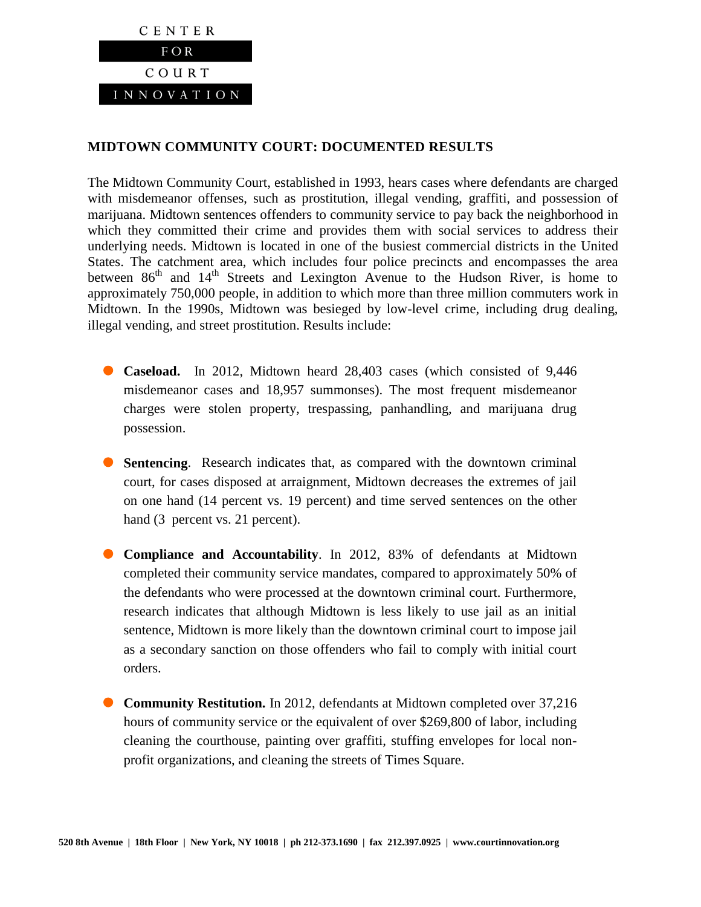

## **MIDTOWN COMMUNITY COURT: DOCUMENTED RESULTS**

The Midtown Community Court, established in 1993, hears cases where defendants are charged with misdemeanor offenses, such as prostitution, illegal vending, graffiti, and possession of marijuana. Midtown sentences offenders to community service to pay back the neighborhood in which they committed their crime and provides them with social services to address their underlying needs. Midtown is located in one of the busiest commercial districts in the United States. The catchment area, which includes four police precincts and encompasses the area between  $86<sup>th</sup>$  and  $14<sup>th</sup>$  Streets and Lexington Avenue to the Hudson River, is home to approximately 750,000 people, in addition to which more than three million commuters work in Midtown. In the 1990s, Midtown was besieged by low-level crime, including drug dealing, illegal vending, and street prostitution. Results include:

- **Caseload.** In 2012, Midtown heard 28,403 cases (which consisted of 9,446 misdemeanor cases and 18,957 summonses). The most frequent misdemeanor charges were stolen property, trespassing, panhandling, and marijuana drug possession.
- **Sentencing.** Research indicates that, as compared with the downtown criminal court, for cases disposed at arraignment, Midtown decreases the extremes of jail on one hand (14 percent vs. 19 percent) and time served sentences on the other hand (3 percent vs. 21 percent).
- **Compliance and Accountability**. In 2012, 83% of defendants at Midtown completed their community service mandates, compared to approximately 50% of the defendants who were processed at the downtown criminal court. Furthermore, research indicates that although Midtown is less likely to use jail as an initial sentence, Midtown is more likely than the downtown criminal court to impose jail as a secondary sanction on those offenders who fail to comply with initial court orders.
- **Community Restitution.** In 2012, defendants at Midtown completed over 37,216 hours of community service or the equivalent of over \$269,800 of labor, including cleaning the courthouse, painting over graffiti, stuffing envelopes for local nonprofit organizations, and cleaning the streets of Times Square.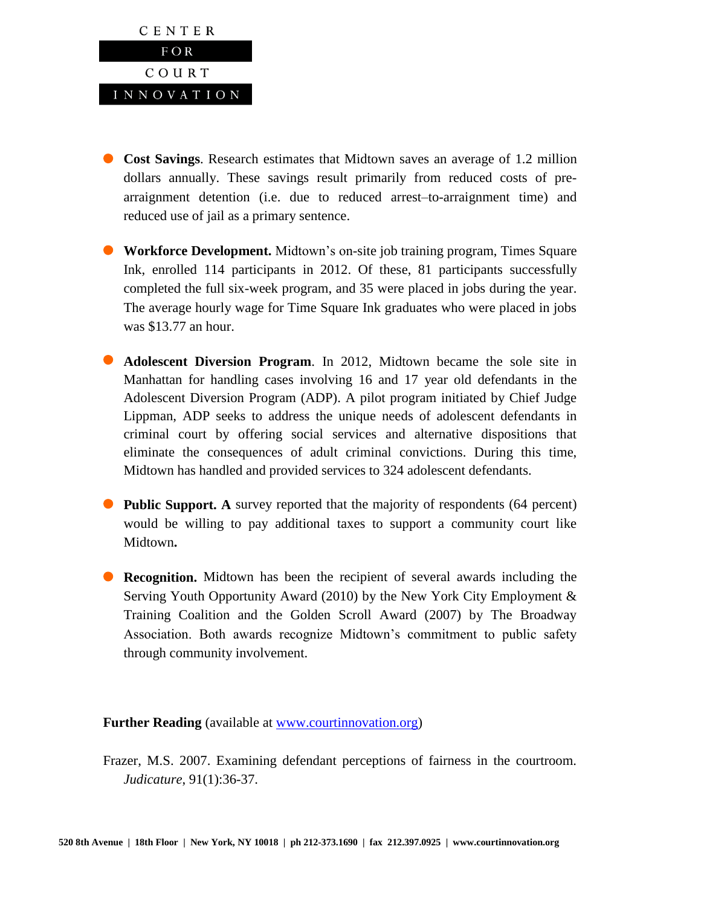

- **Cost Savings**. Research estimates that Midtown saves an average of 1.2 million dollars annually. These savings result primarily from reduced costs of prearraignment detention (i.e. due to reduced arrest–to-arraignment time) and reduced use of jail as a primary sentence.
- **Workforce Development.** Midtown's on-site job training program, Times Square Ink, enrolled 114 participants in 2012. Of these, 81 participants successfully completed the full six-week program, and 35 were placed in jobs during the year. The average hourly wage for Time Square Ink graduates who were placed in jobs was \$13.77 an hour.
- **Adolescent Diversion Program**. In 2012, Midtown became the sole site in Manhattan for handling cases involving 16 and 17 year old defendants in the Adolescent Diversion Program (ADP). A pilot program initiated by Chief Judge Lippman, ADP seeks to address the unique needs of adolescent defendants in criminal court by offering social services and alternative dispositions that eliminate the consequences of adult criminal convictions. During this time, Midtown has handled and provided services to 324 adolescent defendants.
- **Public Support. A** survey reported that the majority of respondents (64 percent) would be willing to pay additional taxes to support a community court like Midtown**.**
- **Recognition.** Midtown has been the recipient of several awards including the Serving Youth Opportunity Award (2010) by the New York City Employment & Training Coalition and the Golden Scroll Award (2007) by The Broadway Association. Both awards recognize Midtown's commitment to public safety through community involvement.

## Further Reading (available at [www.courtinnovation.org\)](http://www.courtinnovation.org/)

Frazer, M.S. 2007. Examining defendant perceptions of fairness in the courtroom. *Judicature*, 91(1):36-37.